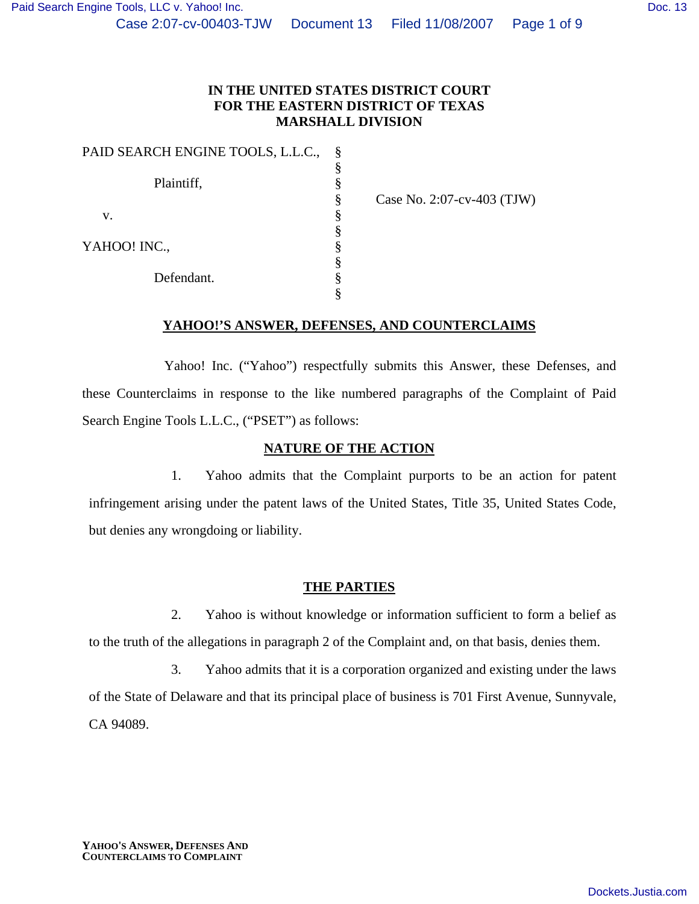### **IN THE UNITED STATES DISTRICT COURT FOR THE EASTERN DISTRICT OF TEXAS MARSHALL DIVISION**

| PAID SEARCH ENGINE TOOLS, L.L.C., |   |
|-----------------------------------|---|
|                                   |   |
| Plaintiff,                        |   |
|                                   |   |
| v.                                |   |
|                                   |   |
| YAHOO! INC.,                      | Ş |
|                                   |   |
| Defendant.                        |   |
|                                   |   |

Case No. 2:07-cv-403 (TJW)

### **YAHOO!'S ANSWER, DEFENSES, AND COUNTERCLAIMS**

Yahoo! Inc. ("Yahoo") respectfully submits this Answer, these Defenses, and these Counterclaims in response to the like numbered paragraphs of the Complaint of Paid Search Engine Tools L.L.C., ("PSET") as follows:

#### **NATURE OF THE ACTION**

1. Yahoo admits that the Complaint purports to be an action for patent infringement arising under the patent laws of the United States, Title 35, United States Code, but denies any wrongdoing or liability.

### **THE PARTIES**

2. Yahoo is without knowledge or information sufficient to form a belief as to the truth of the allegations in paragraph 2 of the Complaint and, on that basis, denies them.

3. Yahoo admits that it is a corporation organized and existing under the laws of the State of Delaware and that its principal place of business is 701 First Avenue, Sunnyvale, CA 94089.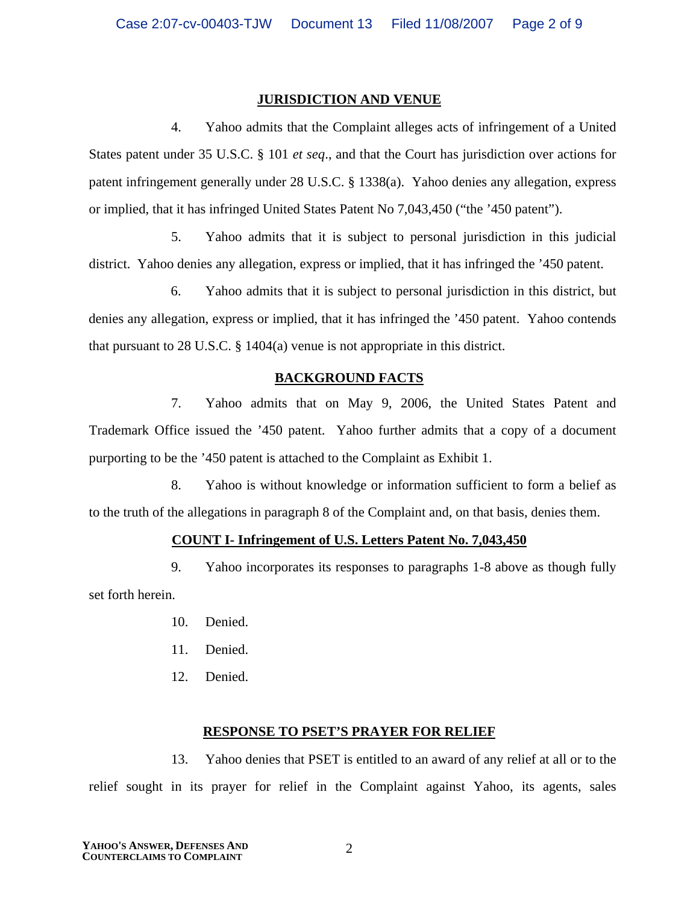### **JURISDICTION AND VENUE**

4. Yahoo admits that the Complaint alleges acts of infringement of a United States patent under 35 U.S.C. § 101 *et seq*., and that the Court has jurisdiction over actions for patent infringement generally under 28 U.S.C. § 1338(a). Yahoo denies any allegation, express or implied, that it has infringed United States Patent No 7,043,450 ("the '450 patent").

5. Yahoo admits that it is subject to personal jurisdiction in this judicial district. Yahoo denies any allegation, express or implied, that it has infringed the '450 patent.

6. Yahoo admits that it is subject to personal jurisdiction in this district, but denies any allegation, express or implied, that it has infringed the '450 patent. Yahoo contends that pursuant to 28 U.S.C. § 1404(a) venue is not appropriate in this district.

#### **BACKGROUND FACTS**

7. Yahoo admits that on May 9, 2006, the United States Patent and Trademark Office issued the '450 patent. Yahoo further admits that a copy of a document purporting to be the '450 patent is attached to the Complaint as Exhibit 1.

8. Yahoo is without knowledge or information sufficient to form a belief as to the truth of the allegations in paragraph 8 of the Complaint and, on that basis, denies them.

#### **COUNT I- Infringement of U.S. Letters Patent No. 7,043,450**

9. Yahoo incorporates its responses to paragraphs 1-8 above as though fully set forth herein.

- 10. Denied.
- 11. Denied.
- 12. Denied.

#### **RESPONSE TO PSET'S PRAYER FOR RELIEF**

13. Yahoo denies that PSET is entitled to an award of any relief at all or to the relief sought in its prayer for relief in the Complaint against Yahoo, its agents, sales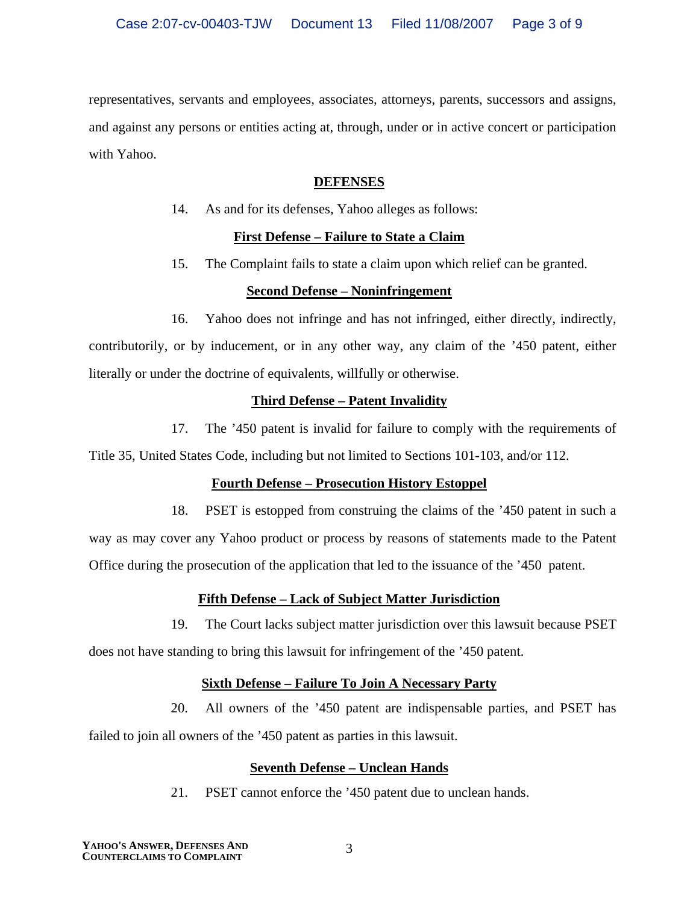representatives, servants and employees, associates, attorneys, parents, successors and assigns, and against any persons or entities acting at, through, under or in active concert or participation with Yahoo.

## **DEFENSES**

14. As and for its defenses, Yahoo alleges as follows:

## **First Defense – Failure to State a Claim**

15. The Complaint fails to state a claim upon which relief can be granted.

## **Second Defense – Noninfringement**

16. Yahoo does not infringe and has not infringed, either directly, indirectly, contributorily, or by inducement, or in any other way, any claim of the '450 patent, either literally or under the doctrine of equivalents, willfully or otherwise.

# **Third Defense – Patent Invalidity**

17. The '450 patent is invalid for failure to comply with the requirements of Title 35, United States Code, including but not limited to Sections 101-103, and/or 112.

# **Fourth Defense – Prosecution History Estoppel**

18. PSET is estopped from construing the claims of the '450 patent in such a way as may cover any Yahoo product or process by reasons of statements made to the Patent Office during the prosecution of the application that led to the issuance of the '450 patent.

# **Fifth Defense – Lack of Subject Matter Jurisdiction**

19. The Court lacks subject matter jurisdiction over this lawsuit because PSET does not have standing to bring this lawsuit for infringement of the '450 patent.

# **Sixth Defense – Failure To Join A Necessary Party**

20. All owners of the '450 patent are indispensable parties, and PSET has failed to join all owners of the '450 patent as parties in this lawsuit.

# **Seventh Defense – Unclean Hands**

21. PSET cannot enforce the '450 patent due to unclean hands.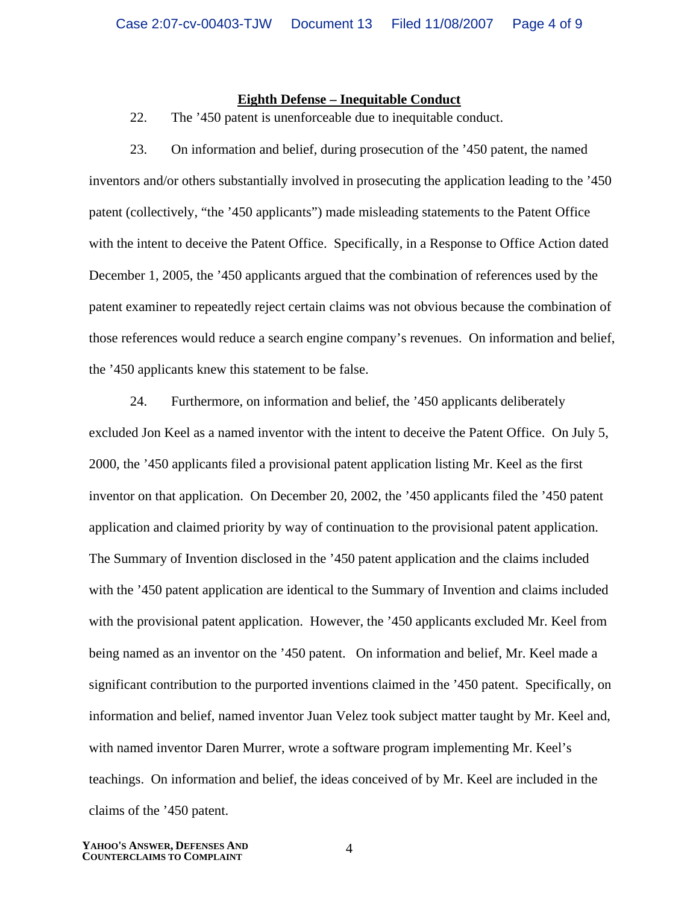#### **Eighth Defense – Inequitable Conduct**

22. The '450 patent is unenforceable due to inequitable conduct.

23. On information and belief, during prosecution of the '450 patent, the named inventors and/or others substantially involved in prosecuting the application leading to the '450 patent (collectively, "the '450 applicants") made misleading statements to the Patent Office with the intent to deceive the Patent Office. Specifically, in a Response to Office Action dated December 1, 2005, the '450 applicants argued that the combination of references used by the patent examiner to repeatedly reject certain claims was not obvious because the combination of those references would reduce a search engine company's revenues. On information and belief, the '450 applicants knew this statement to be false.

24. Furthermore, on information and belief, the '450 applicants deliberately excluded Jon Keel as a named inventor with the intent to deceive the Patent Office. On July 5, 2000, the '450 applicants filed a provisional patent application listing Mr. Keel as the first inventor on that application. On December 20, 2002, the '450 applicants filed the '450 patent application and claimed priority by way of continuation to the provisional patent application. The Summary of Invention disclosed in the '450 patent application and the claims included with the '450 patent application are identical to the Summary of Invention and claims included with the provisional patent application. However, the '450 applicants excluded Mr. Keel from being named as an inventor on the '450 patent. On information and belief, Mr. Keel made a significant contribution to the purported inventions claimed in the '450 patent. Specifically, on information and belief, named inventor Juan Velez took subject matter taught by Mr. Keel and, with named inventor Daren Murrer, wrote a software program implementing Mr. Keel's teachings. On information and belief, the ideas conceived of by Mr. Keel are included in the claims of the '450 patent.

4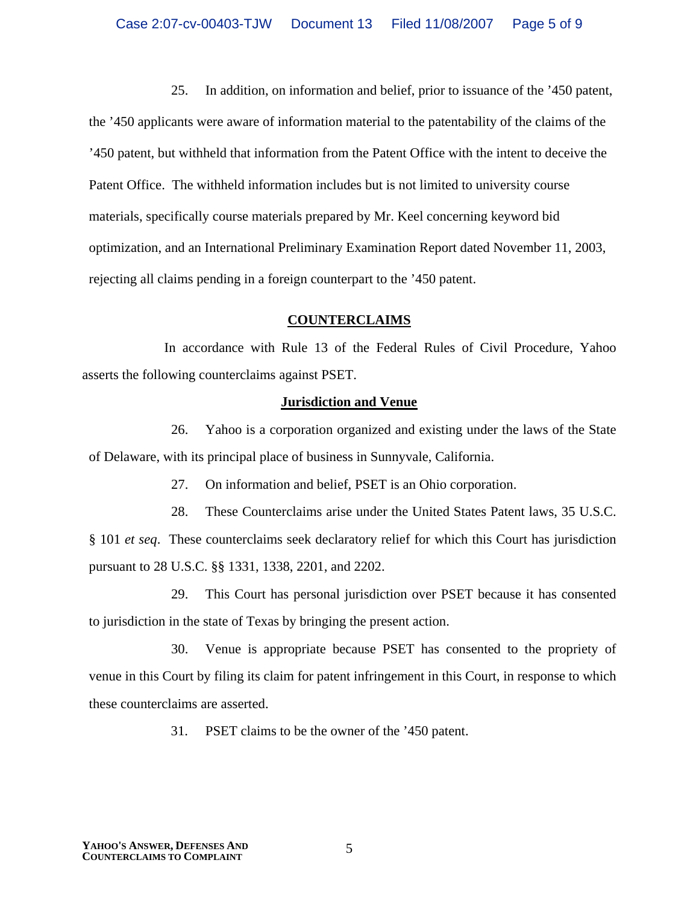25. In addition, on information and belief, prior to issuance of the '450 patent, the '450 applicants were aware of information material to the patentability of the claims of the '450 patent, but withheld that information from the Patent Office with the intent to deceive the Patent Office. The withheld information includes but is not limited to university course materials, specifically course materials prepared by Mr. Keel concerning keyword bid optimization, and an International Preliminary Examination Report dated November 11, 2003, rejecting all claims pending in a foreign counterpart to the '450 patent.

### **COUNTERCLAIMS**

In accordance with Rule 13 of the Federal Rules of Civil Procedure, Yahoo asserts the following counterclaims against PSET.

### **Jurisdiction and Venue**

26. Yahoo is a corporation organized and existing under the laws of the State of Delaware, with its principal place of business in Sunnyvale, California.

27. On information and belief, PSET is an Ohio corporation.

28. These Counterclaims arise under the United States Patent laws, 35 U.S.C. § 101 *et seq*. These counterclaims seek declaratory relief for which this Court has jurisdiction pursuant to 28 U.S.C. §§ 1331, 1338, 2201, and 2202.

29. This Court has personal jurisdiction over PSET because it has consented to jurisdiction in the state of Texas by bringing the present action.

30. Venue is appropriate because PSET has consented to the propriety of venue in this Court by filing its claim for patent infringement in this Court, in response to which these counterclaims are asserted.

31. PSET claims to be the owner of the '450 patent.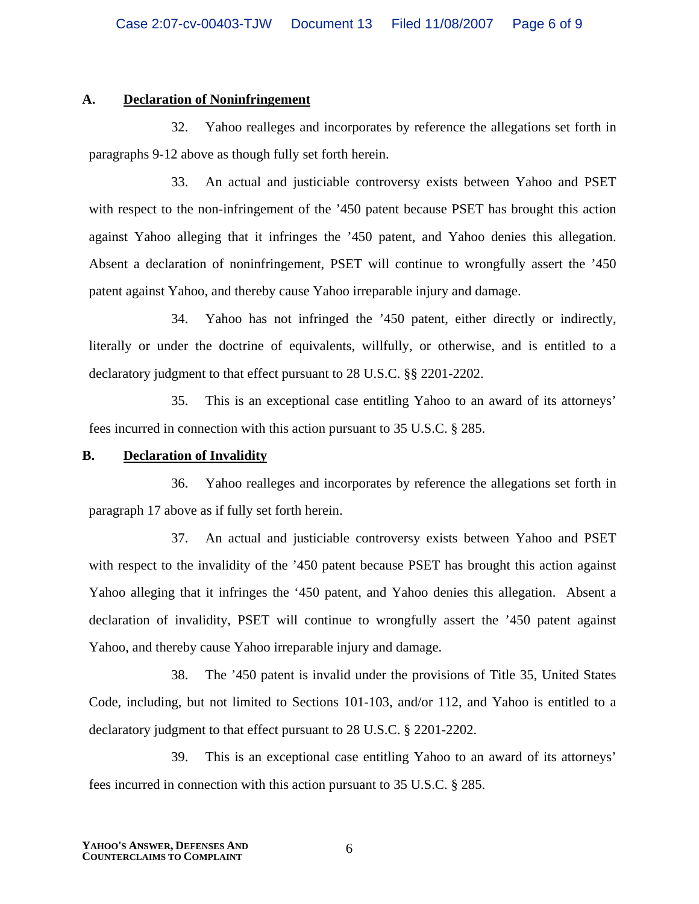### **A. Declaration of Noninfringement**

32. Yahoo realleges and incorporates by reference the allegations set forth in paragraphs 9-12 above as though fully set forth herein.

33. An actual and justiciable controversy exists between Yahoo and PSET with respect to the non-infringement of the '450 patent because PSET has brought this action against Yahoo alleging that it infringes the '450 patent, and Yahoo denies this allegation. Absent a declaration of noninfringement, PSET will continue to wrongfully assert the '450 patent against Yahoo, and thereby cause Yahoo irreparable injury and damage.

34. Yahoo has not infringed the '450 patent, either directly or indirectly, literally or under the doctrine of equivalents, willfully, or otherwise, and is entitled to a declaratory judgment to that effect pursuant to 28 U.S.C. §§ 2201-2202.

35. This is an exceptional case entitling Yahoo to an award of its attorneys' fees incurred in connection with this action pursuant to 35 U.S.C. § 285.

#### **B. Declaration of Invalidity**

36. Yahoo realleges and incorporates by reference the allegations set forth in paragraph 17 above as if fully set forth herein.

37. An actual and justiciable controversy exists between Yahoo and PSET with respect to the invalidity of the '450 patent because PSET has brought this action against Yahoo alleging that it infringes the '450 patent, and Yahoo denies this allegation. Absent a declaration of invalidity, PSET will continue to wrongfully assert the '450 patent against Yahoo, and thereby cause Yahoo irreparable injury and damage.

38. The '450 patent is invalid under the provisions of Title 35, United States Code, including, but not limited to Sections 101-103, and/or 112, and Yahoo is entitled to a declaratory judgment to that effect pursuant to 28 U.S.C. § 2201-2202.

39. This is an exceptional case entitling Yahoo to an award of its attorneys' fees incurred in connection with this action pursuant to 35 U.S.C. § 285.

6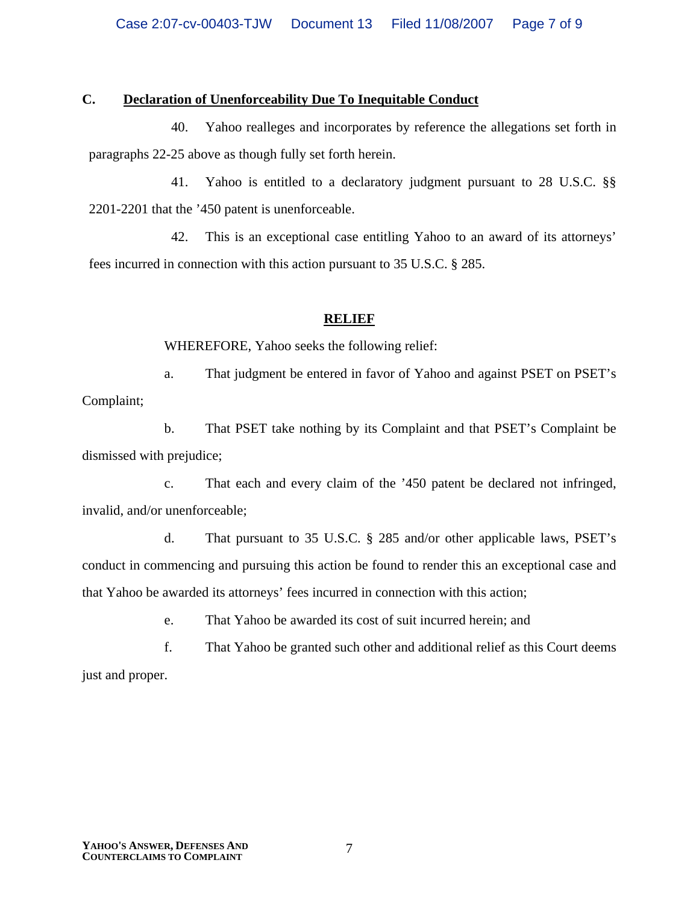### **C. Declaration of Unenforceability Due To Inequitable Conduct**

40. Yahoo realleges and incorporates by reference the allegations set forth in paragraphs 22-25 above as though fully set forth herein.

41. Yahoo is entitled to a declaratory judgment pursuant to 28 U.S.C. §§ 2201-2201 that the '450 patent is unenforceable.

42. This is an exceptional case entitling Yahoo to an award of its attorneys' fees incurred in connection with this action pursuant to 35 U.S.C. § 285.

### **RELIEF**

### WHEREFORE, Yahoo seeks the following relief:

a. That judgment be entered in favor of Yahoo and against PSET on PSET's Complaint;

b. That PSET take nothing by its Complaint and that PSET's Complaint be dismissed with prejudice;

c. That each and every claim of the '450 patent be declared not infringed, invalid, and/or unenforceable;

d. That pursuant to 35 U.S.C. § 285 and/or other applicable laws, PSET's conduct in commencing and pursuing this action be found to render this an exceptional case and that Yahoo be awarded its attorneys' fees incurred in connection with this action;

e. That Yahoo be awarded its cost of suit incurred herein; and

f. That Yahoo be granted such other and additional relief as this Court deems just and proper.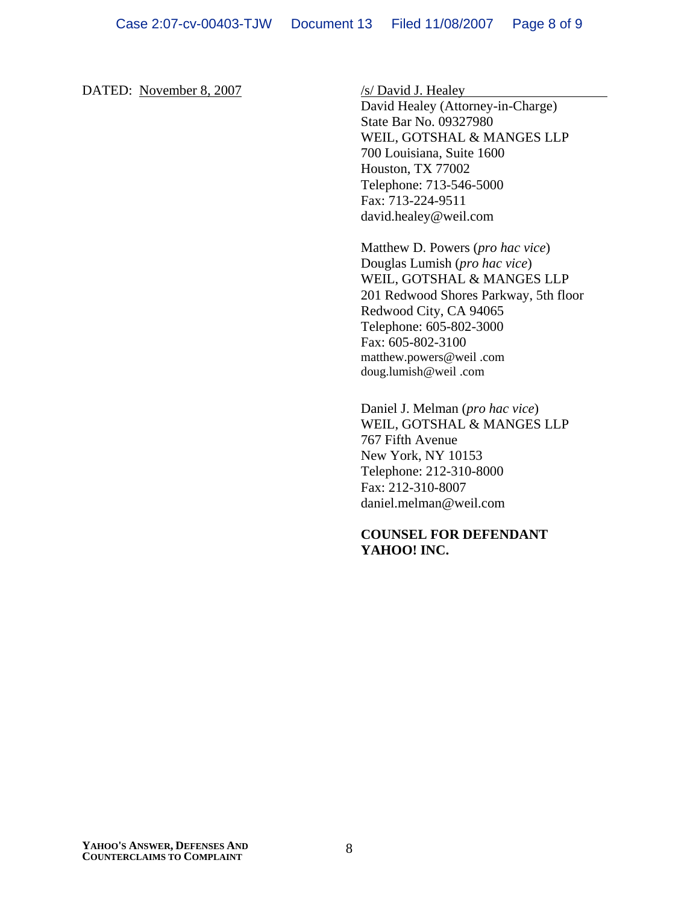DATED: November 8, 2007 /s/ David J. Healey

David Healey (Attorney-in-Charge) State Bar No. 09327980 WEIL, GOTSHAL & MANGES LLP 700 Louisiana, Suite 1600 Houston, TX 77002 Telephone: 713-546-5000 Fax: 713-224-9511 david.healey@weil.com

Matthew D. Powers (*pro hac vice*) Douglas Lumish (*pro hac vice*) WEIL, GOTSHAL & MANGES LLP 201 Redwood Shores Parkway, 5th floor Redwood City, CA 94065 Telephone: 605-802-3000 Fax: 605-802-3100 matthew.powers@weil .com doug.lumish@weil .com

Daniel J. Melman (*pro hac vice*) WEIL, GOTSHAL & MANGES LLP 767 Fifth Avenue New York, NY 10153 Telephone: 212-310-8000 Fax: 212-310-8007 daniel.melman@weil.com

### **COUNSEL FOR DEFENDANT YAHOO! INC.**